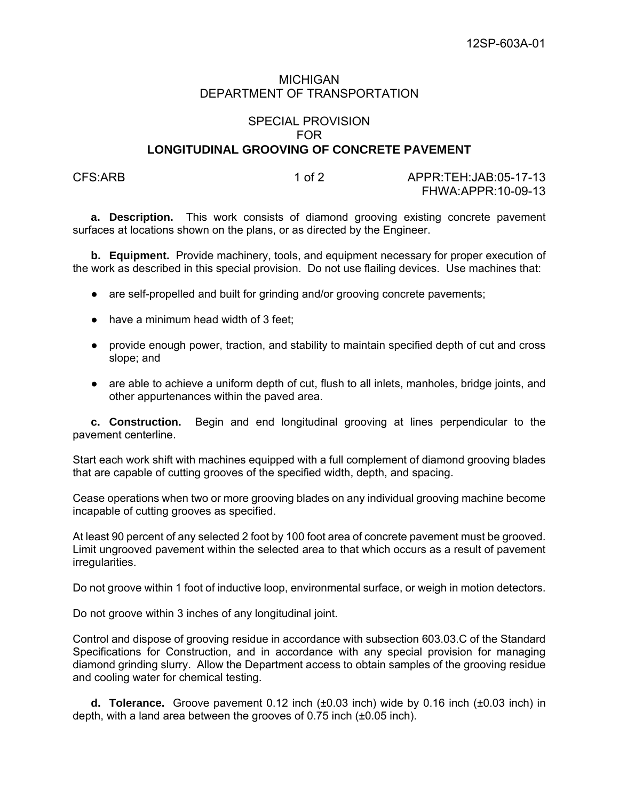## MICHIGAN DEPARTMENT OF TRANSPORTATION

## SPECIAL PROVISION FOR **LONGITUDINAL GROOVING OF CONCRETE PAVEMENT**

CFS:ARB 1 of 2 APPR:TEH:JAB:05-17-13 FHWA:APPR:10-09-13

**a. Description.** This work consists of diamond grooving existing concrete pavement surfaces at locations shown on the plans, or as directed by the Engineer.

**b. Equipment.** Provide machinery, tools, and equipment necessary for proper execution of the work as described in this special provision. Do not use flailing devices. Use machines that:

- are self-propelled and built for grinding and/or grooving concrete pavements;
- have a minimum head width of 3 feet;
- provide enough power, traction, and stability to maintain specified depth of cut and cross slope; and
- are able to achieve a uniform depth of cut, flush to all inlets, manholes, bridge joints, and other appurtenances within the paved area.

**c. Construction.** Begin and end longitudinal grooving at lines perpendicular to the pavement centerline.

Start each work shift with machines equipped with a full complement of diamond grooving blades that are capable of cutting grooves of the specified width, depth, and spacing.

Cease operations when two or more grooving blades on any individual grooving machine become incapable of cutting grooves as specified.

At least 90 percent of any selected 2 foot by 100 foot area of concrete pavement must be grooved. Limit ungrooved pavement within the selected area to that which occurs as a result of pavement irregularities.

Do not groove within 1 foot of inductive loop, environmental surface, or weigh in motion detectors.

Do not groove within 3 inches of any longitudinal joint.

Control and dispose of grooving residue in accordance with subsection 603.03.C of the Standard Specifications for Construction, and in accordance with any special provision for managing diamond grinding slurry. Allow the Department access to obtain samples of the grooving residue and cooling water for chemical testing.

**d. Tolerance.** Groove pavement 0.12 inch (±0.03 inch) wide by 0.16 inch (±0.03 inch) in depth, with a land area between the grooves of 0.75 inch (±0.05 inch).